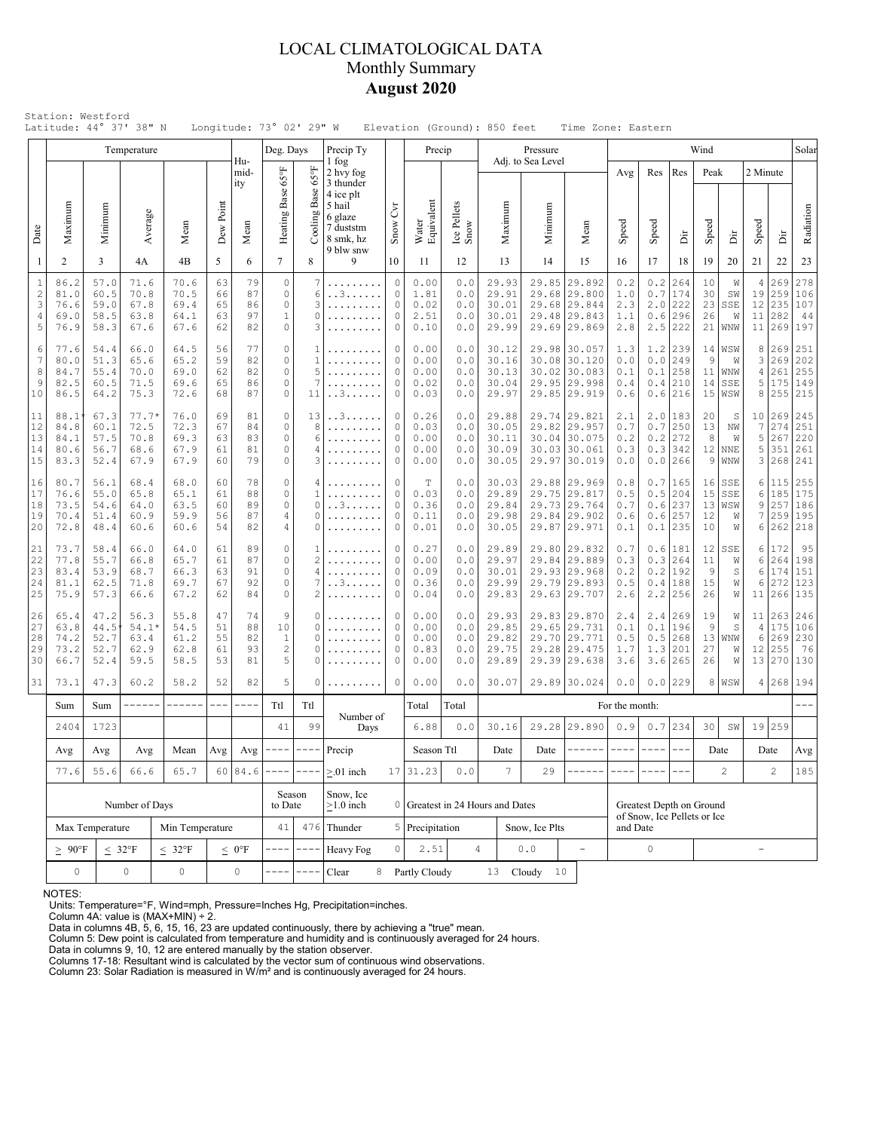## LOCAL CLIMATOLOGICAL DATA Monthly Summary **August 2020**

|                                      | Station: Westford<br>Latitude: 44° 37' 38" N                     |                                                                      |                                         |                                      |                            |                                                     | Longitude: 73° 02' 29" W                                 |                                            |                                                                                                 |                                                                       | Elevation (Ground): 850 feet         |                                 |                |                                           |                               | Time Zone: Eastern                                                           |                                 |                                                         |                                            |                             |                                  |                           |                                 |                                 |
|--------------------------------------|------------------------------------------------------------------|----------------------------------------------------------------------|-----------------------------------------|--------------------------------------|----------------------------|-----------------------------------------------------|----------------------------------------------------------|--------------------------------------------|-------------------------------------------------------------------------------------------------|-----------------------------------------------------------------------|--------------------------------------|---------------------------------|----------------|-------------------------------------------|-------------------------------|------------------------------------------------------------------------------|---------------------------------|---------------------------------------------------------|--------------------------------------------|-----------------------------|----------------------------------|---------------------------|---------------------------------|---------------------------------|
|                                      |                                                                  |                                                                      | Temperature                             |                                      |                            | Hu-                                                 | Deg. Days                                                |                                            | Precip Ty<br>1 fog                                                                              |                                                                       | Precip                               |                                 |                |                                           | Pressure<br>Adj. to Sea Level |                                                                              |                                 |                                                         |                                            | Wind                        |                                  |                           |                                 | Solar                           |
| Date                                 | Maximum                                                          | Minimum                                                              | Average                                 | Mean                                 | Dew Point                  | mid-<br>ity<br>Mean                                 | Heating Base 65°F                                        | $65^{\circ}$ F<br>Base<br>Cooling 1        | 2 hvy fog<br>3 thunder<br>4 ice plt<br>5 hail<br>6 glaze<br>7 duststm<br>8 smk, hz<br>9 blw snw | Čч<br>Snow                                                            | Water<br>Equivalent                  | Ice Pellets<br>Snow             |                | Maximum                                   | Minimum                       | Mean                                                                         | Avg<br>Speed                    | Res<br>Speed                                            | Res<br>ă                                   | Peak<br>Speed               | ă                                | 2 Minute<br>Speed         | İ                               | Radiation                       |
| $\mathbf{1}$                         | $\overline{2}$                                                   | 3                                                                    | 4A                                      | 4B                                   | 5                          | 6                                                   | $7\overline{ }$                                          | 8                                          | 9                                                                                               | 10                                                                    | 11                                   | 12                              |                | 13                                        | 14                            | 15                                                                           | 16                              | 17                                                      | 18                                         | 19                          | 20                               | 21                        | 22                              | 23                              |
| $\,1\,$<br>$\sqrt{2}$<br>3<br>4<br>5 | 86.2<br>81.0<br>76.6<br>69.0<br>76.9                             | 57.0<br>60.5<br>59.0<br>58.5<br>58.3                                 | 71.6<br>70.8<br>67.8<br>63.8<br>67.6    | 70.6<br>70.5<br>69.4<br>64.1<br>67.6 | 63<br>66<br>65<br>63<br>62 | 79<br>87<br>86<br>97<br>82                          | $\circ$<br>$\circ$<br>$\circ$<br>$\mathbf{1}$<br>$\circ$ | 7<br>6<br>3<br>0<br>3                      | .<br>. . 3.                                                                                     | $\circ$<br>$\circ$<br>$\circ$<br>$\circ$<br>$\circ$                   | 0.00<br>1.81<br>0.02<br>2.51<br>0.10 | 0.0<br>0.0<br>0.0<br>0.0<br>0.0 |                | 29.93<br>29.91<br>30.01<br>30.01<br>29.99 | 29.85<br>29.68<br>29.48       | 29.892<br> 29.800<br>29.68 29.844<br>29.843<br>29.69 29.869                  | 0.2<br>1.0<br>2.3<br>1.1<br>2.8 | 0.2<br>0.7<br>2.0<br>0.6<br>2.5                         | 264<br>174<br>222<br>296<br>222            | 10<br>30<br>23<br>26<br>21  | W<br>SW<br>SSE<br>W<br>WNW       | 4<br>19<br>12<br>11<br>11 | 269<br>259<br>235<br>282<br>269 | 278<br>106<br>107<br>44<br>197  |
| 6<br>7<br>8<br>9<br>10               | 77.6<br>80.0<br>84.7<br>82.5<br>86.5                             | 54.4<br>51.3<br>55.4<br>60.5<br>64.2                                 | 66.0<br>65.6<br>70.0<br>71.5<br>75.3    | 64.5<br>65.2<br>69.0<br>69.6<br>72.6 | 56<br>59<br>62<br>65<br>68 | 77<br>82<br>82<br>86<br>87                          | $\circ$<br>$\circ$<br>$\circ$<br>$\circ$<br>$\circ$      | 1<br>1<br>5<br>7<br>11                     | .<br>. . 3.                                                                                     | 0<br>$\mathbf 0$<br>$\mathbf{0}$<br>$\circ$<br>$\circ$                | 0.00<br>0.00<br>0.00<br>0.02<br>0.03 | 0.0<br>0.0<br>0.0<br>0.0<br>0.0 |                | 30.12<br>30.16<br>30.13<br>30.04<br>29.97 |                               | 29.98 30.057<br>30.08 30.120<br>30.02 30.083<br>29.95 29.998<br>29.85 29.919 | 1.3<br>0.0<br>0.1<br>0.4<br>0.6 | 1.2<br>0.0<br>0.1<br>0.4<br>0.6                         | 239<br>249<br>258<br>210<br>216            | 9<br>11<br>14<br>15         | 14 WSW<br>W<br>WNW<br>SSE<br>WSW | 8<br>3<br>4<br>5<br>8     | 269<br>269<br>261<br>175<br>255 | 251<br>202<br>255<br>149<br>215 |
| 11<br>12<br>13<br>14<br>15           | 88.1<br>84.8<br>84.1<br>80.6<br>83.3                             | 67.3<br>60.1<br>57.5<br>56.7<br>52.4                                 | $77.7*$<br>72.5<br>70.8<br>68.6<br>67.9 | 76.0<br>72.3<br>69.3<br>67.9<br>67.9 | 69<br>67<br>63<br>61<br>60 | 81<br>84<br>83<br>81<br>79                          | $\circ$<br>$\circ$<br>$\circ$<br>$\circ$<br>$\circ$      | 13<br>8<br>6<br>4<br>3                     | . . 3<br>.<br>.<br>.<br>.                                                                       | $\mathbf 0$<br>$\circ$<br>$\circ$<br>$\mathbf{0}$<br>$\circ$          |                                      | 0.0<br>0.0<br>0.0<br>0.0<br>0.0 |                | 29.88<br>30.05<br>30.11<br>30.09<br>30.05 |                               | 29.74 29.821<br>29.82 29.957<br>30.04 30.075<br>30.03 30.061<br>29.97 30.019 | 2.1<br>0.7<br>0.2<br>0.3<br>0.0 | 0.7<br>0.2<br>0.3                                       | $2.0$  183<br>250<br>272<br>342<br>0.01266 | 20<br>13<br>8<br>12<br>9    | S<br>NW<br>W<br>NNE<br>WNW       | 10 <br>7<br>5<br>5<br>3   | 269<br>274<br>267<br>351<br>268 | 245<br>251<br>220<br>261<br>241 |
| 16<br>17<br>18<br>19<br>20           | 80.7<br>76.6<br>73.5<br>70.4<br>72.8                             | 56.1<br>55.0<br>54.6<br>51.4<br>48.4                                 | 68.4<br>65.8<br>64.0<br>60.9<br>60.6    | 68.0<br>65.1<br>63.5<br>59.9<br>60.6 | 60<br>61<br>60<br>56<br>54 | 78<br>88<br>89<br>87<br>82                          | $\circ$<br>$\circ$<br>$\circ$<br>4<br>4                  | 4<br>1<br>$\Omega$<br>0<br>$\Omega$        | . . 3.<br>.                                                                                     | $\mathbf 0$<br>$\circ$<br>$\circ$<br>$\mathbf 0$<br>$\mathbf{0}$      | T<br>0.03<br>0.36<br>0.11<br>0.01    | 0.0<br>0.0<br>0.0<br>0.0<br>0.0 |                | 30.03<br>29.89<br>29.84<br>29.98<br>30.05 |                               | 29.88 29.969<br>29.75 29.817<br>29.73 29.764<br>29.84 29.902<br>29.87 29.971 | 0.8<br>0.5<br>0.7<br>0.6<br>0.1 | 0.5<br>0.6<br>0.6                                       | 0.7165<br>204<br>237<br>257<br>$0.1$   235 | 16<br>15<br>12<br>10        | SSE<br>SSE<br>13 WSW<br>W<br>W   | 6<br>6<br>9<br>7<br>6     | 115<br>185<br>257<br>259<br>262 | 255<br>175<br>186<br>195<br>218 |
| 21<br>22<br>23<br>24<br>25           | 73.7<br>77.8<br>83.4<br>81.1<br>75.9                             | 58.4<br>55.7<br>53.9<br>62.5<br>57.3                                 | 66.0<br>66.8<br>68.7<br>71.8<br>66.6    | 64.0<br>65.7<br>66.3<br>69.7<br>67.2 | 61<br>61<br>63<br>67<br>62 | 89<br>87<br>91<br>92<br>84                          | 0<br>$\circ$<br>$\circ$<br>0<br>$\circ$                  | 1<br>$\overline{c}$<br>$\overline{4}$<br>2 | . . 3<br>.                                                                                      | $\mathbf 0$<br>$\mathbf{0}$<br>$\circ$<br>$\mathbf 0$<br>$\mathbf{0}$ | 0.27<br>0.00<br>0.09<br>0.36<br>0.04 | 0.0<br>0.0<br>0.0<br>0.0<br>0.0 |                | 29.89<br>29.97<br>30.01<br>29.99<br>29.83 |                               | 29.80 29.832<br>29.84 29.889<br>29.93 29.968<br>29.79 29.893<br>29.63 29.707 | 0.7<br>0.3<br>0.2<br>0.5<br>2.6 | 0.6<br>0.3<br>0.2<br>0.4<br>2.2                         | 181<br>264<br>192<br>188<br>256            | 12<br>11<br>- 9<br>15<br>26 | SSE<br>W<br>S<br>W<br>W          | 6<br>6<br>6<br>6<br>11    | 172<br>264<br>174<br>272<br>266 | 95<br>198<br>151<br>123<br>135  |
| 26<br>27<br>28<br>29<br>30           | 65.4<br>63.8<br>74.2<br>73.2<br>66.7                             | 47.2<br>44.5<br>52.7<br>52.7<br>52.4                                 | 56.3<br>$54.1*$<br>63.4<br>62.9<br>59.5 | 55.8<br>54.5<br>61.2<br>62.8<br>58.5 | 47<br>51<br>55<br>61<br>53 | 74<br>88<br>82<br>93<br>81                          | 9<br>10<br>$\mathbf{1}$<br>$\overline{c}$<br>5           | 0<br>0<br>0<br>0<br>0                      |                                                                                                 | 0<br>$\circ$<br>$\mathbf{0}$<br>$\circ$<br>$\mathbf 0$                | 0.00<br>0.00<br>0.00<br>0.83<br>0.00 | 0.0<br>0.0<br>0.0<br>0.0<br>0.0 |                | 29.93<br>29.85<br>29.82<br>29.75<br>29.89 | 29.28                         | 29.83 29.870<br>29.65 29.731<br>29.70 29.771<br> 29.475<br>29.39 29.638      | 2.4<br>0.1<br>0.5<br>1.7<br>3.6 | 2.4<br>0.1<br>0.5<br>1.3<br>3.6                         | 269<br>196<br>268<br>201<br>265            | 19<br>9<br>13<br>27<br>26   | W<br>S<br>WNW<br>W<br>W          | 11<br>4<br>6<br>12<br>13  | 263<br>175<br>269<br>255<br>270 | 246<br>106<br>230<br>76<br>130  |
| 31                                   | 73.1                                                             | 47.3                                                                 | 60.2                                    | 58.2                                 | 52                         | 82                                                  | 5                                                        | 0                                          | .                                                                                               | $\circ$                                                               | 0.00                                 | 0.0                             |                | 30.07                                     |                               | 29.89 30.024                                                                 | 0.0                             | 0.0                                                     | 229                                        |                             | 8   WSW                          | 4                         | 268 194                         |                                 |
|                                      | Sum                                                              | Sum                                                                  | ------                                  | ------                               | $\qquad \qquad - -$        | $- - - -$                                           | Ttl                                                      | Ttl                                        | Number of                                                                                       |                                                                       | Total                                | Total                           |                |                                           |                               |                                                                              | For the month:                  |                                                         |                                            |                             |                                  |                           |                                 |                                 |
|                                      | 2404                                                             | 1723                                                                 |                                         |                                      |                            | 41<br>99<br>$--- -$<br>$\qquad \qquad - - -$<br>Avg |                                                          | Days                                       |                                                                                                 | 6.88                                                                  | 0.0                                  |                                 | 30.16          |                                           | 29.28 29.890<br>------        | 0.9<br>$\frac{1}{2}$                                                         | 0.7<br>$\frac{1}{2}$            | 234<br>$- - -$                                          | 30                                         | SW                          |                                  | 19 259                    |                                 |                                 |
|                                      | Avg                                                              | Avg<br>Avg<br>Mean<br>Avg<br>66.6<br>65.7<br>60 84.6<br>77.6<br>55.6 |                                         |                                      |                            |                                                     |                                                          |                                            | Precip                                                                                          |                                                                       | Season Ttl<br>17 31.23               | $0.0$                           |                | Date<br>$7\phantom{.0}$                   | Date<br>29                    |                                                                              |                                 |                                                         |                                            |                             | Date<br>$\overline{c}$           |                           | Date<br>$\mathbf{2}$            | Avg<br>185                      |
|                                      | Number of Days                                                   |                                                                      |                                         |                                      |                            |                                                     | Season<br>to Date                                        |                                            | $> 01$ inch<br>Snow, Ice<br>$\geq$ 1.0 inch                                                     |                                                                       | 0 Greatest in 24 Hours and Dates     |                                 |                |                                           |                               |                                                                              |                                 | Greatest Depth on Ground<br>of Snow, Ice Pellets or Ice |                                            |                             |                                  |                           |                                 |                                 |
|                                      | Max Temperature<br>Min Temperature                               |                                                                      |                                         |                                      |                            |                                                     | 41                                                       |                                            | 476 Thunder                                                                                     |                                                                       | 5 Precipitation                      |                                 |                |                                           | Snow, Ice Plts                |                                                                              | and Date                        |                                                         |                                            |                             |                                  |                           |                                 |                                 |
|                                      | $\leq 32^{\circ}F$<br>$< 32^{\circ}F$<br>$\geq~90^{\circ}\rm{F}$ |                                                                      |                                         |                                      |                            | $\leq 0$ °F                                         |                                                          |                                            | Heavy Fog                                                                                       | $\circ$                                                               | 2.51                                 |                                 | $\overline{4}$ |                                           | $0.0$                         | $\frac{1}{2}$                                                                | 0                               |                                                         |                                            |                             |                                  | $\overline{a}$            |                                 |                                 |
|                                      | $\circ$<br>0<br>$\circ$                                          |                                                                      |                                         |                                      |                            | 0                                                   |                                                          |                                            | Clear                                                                                           |                                                                       | 8 Partly Cloudy                      |                                 | 13             |                                           | Cloudy<br>10                  |                                                                              |                                 |                                                         |                                            |                             |                                  |                           |                                 |                                 |

NOTES:

Units: Temperature=°F, Wind=mph, Pressure=Inches Hg, Precipitation=inches. Column 4A: value is (MAX+MIN) ÷ 2. Data in columns 4B, 5, 6, 15, 16, 23 are updated continuously, there by achieving a "true" mean.

Column 5: Dew point is calculated from temperature and humidity and is continuously averaged for 24 hours. Data in columns 9, 10, 12 are entered manually by the station observer.

Columns 17-18: Resultant wind is calculated by the vector sum of continuous wind observations. Column 23: Solar Radiation is measured in W/m² and is continuously averaged for 24 hours.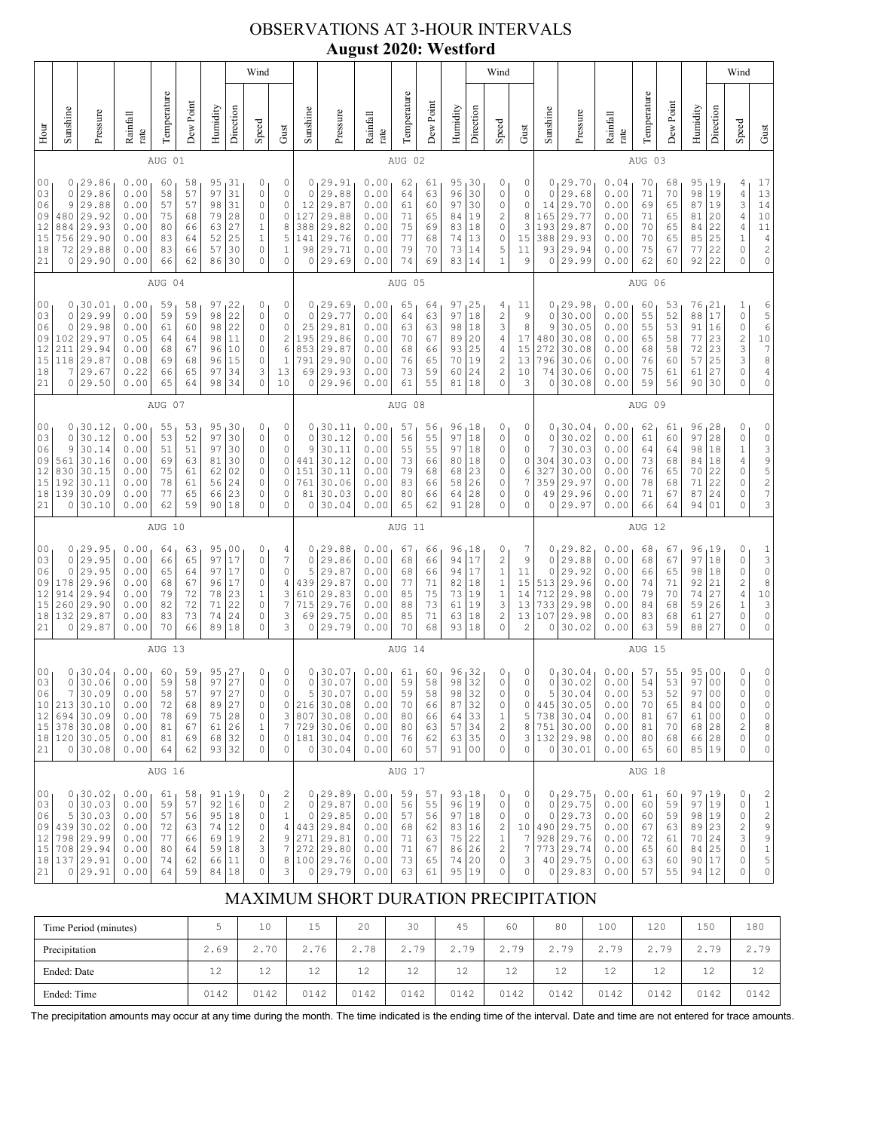# OBSERVATIONS AT 3-HOUR INTERVALS **August 2020: Westford**

|                                                          |                                                                                                                                                                                                                                                                                                                                                                                                                                                 |                                                                                      |                                                                                         |                                                  |                                              |                                              |                                                                       | Wind                                                                        |                                                                                      |                                                              | o                                                                                   |                                                              |                                              |                                              |                                              | Wind                                                                                    |                                                                                    |                                                                      |                                                              |                                                                                            |                                                              |                                                 |                                              |                                                                       |                                                            | Wind                                                       |                                                                |
|----------------------------------------------------------|-------------------------------------------------------------------------------------------------------------------------------------------------------------------------------------------------------------------------------------------------------------------------------------------------------------------------------------------------------------------------------------------------------------------------------------------------|--------------------------------------------------------------------------------------|-----------------------------------------------------------------------------------------|--------------------------------------------------|----------------------------------------------|----------------------------------------------|-----------------------------------------------------------------------|-----------------------------------------------------------------------------|--------------------------------------------------------------------------------------|--------------------------------------------------------------|-------------------------------------------------------------------------------------|--------------------------------------------------------------|----------------------------------------------|----------------------------------------------|----------------------------------------------|-----------------------------------------------------------------------------------------|------------------------------------------------------------------------------------|----------------------------------------------------------------------|--------------------------------------------------------------|--------------------------------------------------------------------------------------------|--------------------------------------------------------------|-------------------------------------------------|----------------------------------------------|-----------------------------------------------------------------------|------------------------------------------------------------|------------------------------------------------------------|----------------------------------------------------------------|
| Hour                                                     | Sunshine                                                                                                                                                                                                                                                                                                                                                                                                                                        | Pressure                                                                             | Rainfall<br>rate                                                                        | Temperature                                      | Dew Point                                    | Humidity                                     | Direction                                                             | Speed                                                                       | Gust                                                                                 | Sunshine                                                     | Pressure                                                                            | Rainfall<br>rate                                             | Temperature                                  | Dew Point                                    | Humidity                                     | Direction                                                                               | Speed                                                                              | Gust                                                                 | Sunshine                                                     | Pressure                                                                                   | Rainfall<br>rate                                             | Temperature                                     | Dew Point                                    | Humidity                                                              | Direction                                                  | Speed                                                      | Gust                                                           |
|                                                          |                                                                                                                                                                                                                                                                                                                                                                                                                                                 |                                                                                      |                                                                                         | AUG 01                                           |                                              |                                              |                                                                       |                                                                             |                                                                                      |                                                              |                                                                                     |                                                              | AUG 02                                       |                                              |                                              |                                                                                         |                                                                                    |                                                                      |                                                              |                                                                                            |                                                              | AUG 03                                          |                                              |                                                                       |                                                            |                                                            |                                                                |
| 0 <sub>0</sub><br>03<br>06<br>09<br>12<br>15<br>18<br>21 | 29.86<br>0.00<br>95<br>31<br>0<br>0<br>60<br>58<br>97<br>31<br>0<br>29.86<br>0.00<br>58<br>57<br>0<br>9<br>29.88<br>31<br>0.00<br>57<br>57<br>98<br>0<br>29.92<br>480<br>0.00<br>75<br>79<br>28<br>0<br>68<br>29.93<br>27<br>$\,1$<br>884<br>0.00<br>63<br>80<br>66<br>$\,1\,$<br>29.90<br>25<br>756<br>0.00<br>83<br>52<br>64<br>29.88<br>72<br>0.00<br>83<br>57<br>30<br>0<br>66<br>29.90<br>30<br>$\mathbb O$<br>0<br>0.00<br>66<br>62<br>86 |                                                                                      |                                                                                         |                                                  |                                              |                                              | 0<br>0<br>$\mathbf 0$<br>$\circ$<br>8<br>5<br>$\mathbf{1}$<br>$\circ$ | 0<br>0<br>12<br>127<br>388<br>141<br>98<br>0                                | 29.91<br>29.88<br>29.87<br>29.88<br>29.82<br>29.76<br>29.71<br>29.69                 | 0.00<br>0.00<br>0.00<br>0.00<br>0.00<br>0.00<br>0.00<br>0.00 | 62<br>64<br>61<br>71<br>75<br>77<br>79<br>74                                        | 61<br>63<br>60<br>65<br>69<br>68<br>70<br>69                 | 95<br>96<br>97<br>84<br>83<br>74<br>73<br>83 | 30<br>30<br>30<br>19<br>18<br>13<br>14<br>14 | 0<br>0<br>0<br>2<br>0<br>0<br>5<br>1         | 0<br>0<br>0<br>8<br>3<br>15<br>11<br>9                                                  | 0<br>0<br>14<br>165<br>193<br>388<br>93<br>0                                       | 29.70<br>29.68<br>29.70<br>29.77<br>29.87<br>29.93<br>29.94<br>29.99 | 0.04<br>0.00<br>0.00<br>0.00<br>0.00<br>0.00<br>0.00<br>0.00 | 70<br>71<br>69<br>71<br>70<br>70<br>75<br>62                                               | 68<br>70<br>65<br>65<br>65<br>65<br>67<br>60                 | 95,19<br>98<br>87<br>81<br>84<br>85<br>77<br>92 | 19<br>19<br>20<br>22<br>25<br>22<br>22       | 4<br>$\sqrt{4}$<br>3<br>$\sqrt{4}$<br>$\sqrt{4}$<br>$\,1\,$<br>0<br>0 | 17<br>13<br>$14$<br>$1\,0$<br>$1\,1$<br>$\frac{4}{2}$<br>0 |                                                            |                                                                |
|                                                          |                                                                                                                                                                                                                                                                                                                                                                                                                                                 |                                                                                      |                                                                                         | AUG 04                                           |                                              |                                              |                                                                       |                                                                             |                                                                                      |                                                              |                                                                                     |                                                              | AUG 05                                       |                                              |                                              |                                                                                         |                                                                                    |                                                                      |                                                              |                                                                                            |                                                              | AUG 06                                          |                                              |                                                                       |                                                            |                                                            |                                                                |
| 00<br>03<br>06<br>09<br>12<br>15<br>18<br>21             | 0<br>0<br>0<br>102<br>211<br>118<br>7<br>0                                                                                                                                                                                                                                                                                                                                                                                                      | 30.01<br>29.99<br>29.98<br>29.97<br>29.94<br>29.87<br>29.67<br>29.50                 | 0.00<br>0.00<br>0.00<br>0.05<br>0.00<br>0.08<br>0.22<br>0.00                            | 59<br>59<br>61<br>64<br>68<br>69<br>66<br>65     | 58<br>59<br>60<br>64<br>67<br>68<br>65<br>64 | 97<br>98<br>98<br>98<br>96<br>96<br>97<br>98 | 22<br>22<br>22<br>11<br>10<br>15<br>34<br>34                          | 0<br>$\circ$<br>$\mathbb O$<br>0<br>0<br>0<br>3<br>0                        | 0<br>$\circ$<br>$\mathbb O$<br>$\sqrt{2}$<br>6<br>$\mathbf{1}$<br>13<br>10           | 0<br>$\mathbf 0$<br>25<br>195<br>853<br>791<br>69<br>0       | 29.69<br>29.77<br>29.81<br>29.86<br>29.87<br>29.90<br>29.93<br>29.96                | 0.00<br>0.00<br>0.00<br>0.00<br>0.00<br>0.00<br>0.00<br>0.00 | 65<br>64<br>63<br>70<br>68<br>76<br>73<br>61 | 64<br>63<br>63<br>67<br>66<br>65<br>59<br>55 | 97<br>97<br>98<br>89<br>93<br>70<br>60<br>81 | 25<br>18<br>18<br>20<br>25<br>19<br>24<br>18                                            | 4<br>$\overline{\mathbf{c}}$<br>3<br>4<br>4<br>$\overline{c}$<br>$\mathbf{2}$<br>0 | 11<br>9<br>8<br>17<br>15<br>13<br>10<br>3                            | $\circ$<br>9<br>480<br>272<br>796<br>74<br>0                 | 0, 29.98<br>30.00<br>30.05<br>30.08<br>30.08<br>30.06<br>30.06<br>30.08                    | 0.00<br>0.00<br>0.00<br>0.00<br>0.00<br>0.00<br>0.00<br>0.00 | 60<br>55<br>55<br>65<br>68<br>76<br>75<br>59    | 53<br>52<br>53<br>58<br>58<br>60<br>61<br>56 | 76<br>88<br>91<br>77<br>72<br>57<br>61<br>90                          | 21  <br>17<br>16<br>23<br>23<br>25<br>27<br>30             | 1<br>0<br>0<br>$\frac{2}{3}$<br>3<br>0<br>0                | 6<br>$\frac{5}{6}$<br>$10$<br>7<br>8<br>$\overline{4}$<br>0    |
|                                                          | AUG 07                                                                                                                                                                                                                                                                                                                                                                                                                                          |                                                                                      |                                                                                         |                                                  |                                              |                                              |                                                                       |                                                                             |                                                                                      |                                                              | AUG 08                                                                              |                                                              |                                              |                                              |                                              |                                                                                         |                                                                                    |                                                                      |                                                              | AUG 09                                                                                     |                                                              |                                                 |                                              |                                                                       |                                                            |                                                            |                                                                |
| 00<br>03<br>06<br>09<br>12<br>15<br>18<br>21             | $\mathbf 0$<br>9<br>561<br>830<br>192<br>139<br>0                                                                                                                                                                                                                                                                                                                                                                                               | 0, 30.12<br>30.12<br>30.14<br>30.16<br>30.15<br>30.11<br>30.09<br>30.10              | 0.00<br>0.00<br>0.00<br>0.00<br>0.00<br>0.00<br>0.00<br>0.00                            | 55<br>53<br>51<br>69<br>75<br>78<br>77<br>62     | 53<br>52<br>51<br>63<br>61<br>61<br>65<br>59 | 95<br>97<br>97<br>81<br>62<br>56<br>66<br>90 | 30<br>30<br>30<br>30<br>02<br>24<br>23<br>18                          | 0<br>$\mathbb O$<br>0<br>0<br>0<br>0<br>0<br>$\mathbf 0$                    | 0<br>$\mathbb O$<br>$\mathbb O$<br>$\circ$<br>$\circ$<br>$\circ$<br>$\mathbf 0$<br>0 | 0<br>$\mathbf 0$<br>9<br>441<br>151<br>761<br>81<br>0        | 30.11<br>30.12<br>30.11<br>30.12<br>30.11<br>30.06<br>30.03<br>30.04                | 0.00<br>0.00<br>0.00<br>0.00<br>0.00<br>0.00<br>0.00<br>0.00 | 57<br>56<br>55<br>73<br>79<br>83<br>80<br>65 | 56<br>55<br>55<br>66<br>68<br>66<br>66<br>62 | 96<br>97<br>97<br>80<br>68<br>58<br>64<br>91 | 18<br>18<br>18<br>18<br>23<br>26<br>28<br>28                                            | 0<br>0<br>0<br>0<br>0<br>0<br>0<br>0                                               | 0<br>0<br>0<br>0<br>6<br>7<br>0<br>0                                 | $\circ$<br>7<br>304<br>327<br>359<br>49<br>0                 | 0, 30.04<br>30.02<br>30.03<br>30.03<br>30.00<br>29.97<br>29.96<br>29.97                    | 0.00<br>0.00<br>0.00<br>0.00<br>0.00<br>0.00<br>0.00<br>0.00 | 62<br>61<br>64<br>73<br>76<br>78<br>71<br>66    | 61<br>60<br>64<br>68<br>65<br>68<br>67<br>64 | 96, 28<br>97<br>98<br>84<br>70<br>71<br>87<br>94                      | 28<br>18<br>18<br>22<br>22<br>24<br>01                     | 0<br>0<br>$\mathbbm{1}$<br>4<br>0<br>0<br>0<br>$\Omega$    | 0<br>039527<br>3                                               |
|                                                          |                                                                                                                                                                                                                                                                                                                                                                                                                                                 |                                                                                      |                                                                                         | AUG 10                                           |                                              |                                              |                                                                       |                                                                             |                                                                                      |                                                              |                                                                                     |                                                              | AUG 11                                       |                                              |                                              |                                                                                         |                                                                                    |                                                                      |                                                              |                                                                                            |                                                              | AUG 12                                          |                                              |                                                                       |                                                            |                                                            |                                                                |
| 00<br>03<br>06<br>09<br>12<br>15<br>18<br>21             | 0<br>0<br>0<br>178<br>914<br>260<br>132<br>0                                                                                                                                                                                                                                                                                                                                                                                                    | 129.95<br>29.95<br>29.95<br>29.96<br>29.94<br>29.90<br>29.87<br>29.87                | 0.00<br>0.00<br>0.00<br>0.00<br>0.00<br>0.00<br>0.00<br>0.00                            | 64<br>66<br>65<br>68<br>79<br>82<br>83<br>70     | 63<br>65<br>64<br>67<br>72<br>72<br>73<br>66 | 95<br>97<br>97<br>96<br>78<br>71<br>74<br>89 | 00<br>17<br>17<br>17<br>23<br>22<br>24<br>18                          | 0<br>$\circ$<br>$\circ$<br>0<br>$\mathbf 1$<br>0<br>$\circ$<br>0            | 4<br>$\overline{7}$<br>$\mathbb O$<br>4<br>3<br>7<br>3<br>3                          | 0<br>0<br>5<br>439<br>610<br>715<br>69<br>0                  | 29.88<br>29.86<br>29.87<br>29.87<br>29.83<br>29.76<br>29.75<br>29.79                | 0.00<br>0.00<br>0.00<br>0.00<br>0.00<br>0.00<br>0.00<br>0.00 | 67<br>68<br>68<br>77<br>85<br>88<br>85<br>70 | 66<br>66<br>66<br>71<br>75<br>73<br>71<br>68 | 96<br>94<br>94<br>82<br>73<br>61<br>63<br>93 | 18<br>17<br>17<br>18<br>19<br>19<br>18<br>18                                            | 0<br>2<br>1<br>$\mathbbm{1}$<br>$\,1\,$<br>3<br>2<br>0                             | 7<br>9<br>11<br>15<br>14<br>13<br>13<br>$\mathbf{2}$                 | 0<br>0<br>513<br>712<br>733<br>107<br>0                      | 0, 29.82<br>29.88<br>29.92<br>29.96<br>29.98<br>29.98<br>29.98<br>30.02                    | 0.00<br>0.00<br>0.00<br>0.00<br>0.00<br>0.00<br>0.00<br>0.00 | 68<br>68<br>66<br>74<br>79<br>84<br>83<br>63    | 67<br>67<br>65<br>71<br>70<br>68<br>68<br>59 | 96, 19<br>97<br>98<br>92<br>74<br>59<br>61<br>88                      | 18<br> 18<br>21<br>27<br>26<br>27<br>27                    | 0<br>0<br>0<br>$\sqrt{2}$<br>$\sqrt{4}$<br>1<br>0<br>0     | $\frac{1}{3}$<br>$\circ$<br>$\,$ 8 $\,$<br>$10$<br>3<br>0<br>0 |
|                                                          |                                                                                                                                                                                                                                                                                                                                                                                                                                                 |                                                                                      |                                                                                         | AUG 13                                           |                                              |                                              |                                                                       |                                                                             |                                                                                      |                                                              |                                                                                     |                                                              | AUG 14                                       |                                              |                                              |                                                                                         |                                                                                    |                                                                      |                                                              |                                                                                            |                                                              | AUG 15                                          |                                              |                                                                       |                                                            |                                                            |                                                                |
| 00<br>03<br>06<br>10<br>12<br>15<br>18<br>21             | 0<br>$\boldsymbol{7}$<br>694<br>378<br>$\circ$                                                                                                                                                                                                                                                                                                                                                                                                  | 0, 30.04<br>30.06<br>30.09<br>213 30.10<br>30.09<br>30.08<br>120 30.05<br>30.08      | 0.00<br>0.00<br>0.00<br>0.00<br>0.00<br>0.00<br>0.00<br>0.00                            | 60<br>59<br>58<br>72<br>$7\,8$<br>81<br>81<br>64 | 59<br>58<br>57<br>68<br>69<br>67<br>69<br>62 | 95<br>97<br>97<br>89<br>75<br>61<br>68<br>93 | 27<br>27<br>27<br>27<br>$2\,8$<br>$2\sqrt{6}$<br>32<br>32             | 0<br>$\mathbb O$<br>$\circ$<br>0<br>0<br>$\,1$<br>$\mathbb O$<br>0          | 0<br>$\mathbb O$<br>$\circ$<br>0<br>3<br>$\boldsymbol{7}$<br>$\circ$<br>$\circ$      | 0<br>0<br>$\mathsf S$<br>216<br>807<br>729<br>181<br>0       | 30.07<br>30.07<br>30.07<br>30.08<br>30.08<br>30.06<br>30.04<br>30.04                | 0.00<br>0.00<br>0.00<br>0.00<br>0.00<br>0.00<br>0.00<br>0.00 | 61<br>59<br>59<br>70<br>80<br>80<br>76<br>60 | 60<br>58<br>58<br>66<br>66<br>63<br>62<br>57 | 96<br>98<br>98<br>87<br>64<br>57<br>63<br>91 | 32<br>32<br>32<br>32<br>$\begin{array}{c} 33 \\ 34 \end{array}$<br>35<br>0 <sup>0</sup> | 0<br>0<br>0<br>0<br>$\mathbf{1}$<br>$\overline{c}$<br>0<br>0                       | 0<br>0<br>0<br>0<br>5<br>8<br>3<br>0                                 | 0<br>$\circ$<br>5                                            | 30.04<br>30.02<br>30.04<br>445 30.05<br>738 30.04<br>751 30.00<br>132 29.98<br>0 30.01     | 0.00<br>0.00<br>0.00<br>0.00<br>0.00<br>0.00<br>0.00<br>0.00 | 57<br>54<br>53<br>70<br>81<br>81<br>80<br>65    | 55<br>53<br>52<br>65<br>67<br>70<br>68<br>60 | 95,00<br>97<br>97<br>84 <br>61 00<br>68 28<br>66 28<br>85 19          | 0 <sub>0</sub><br>0 <sup>0</sup><br>0 <sub>0</sub>         | 0<br>0<br>0<br>0<br>0<br>$\overline{\mathbf{c}}$<br>0<br>0 | 0<br>0<br>0<br>0<br>0<br>8<br>0<br>0                           |
|                                                          |                                                                                                                                                                                                                                                                                                                                                                                                                                                 |                                                                                      |                                                                                         | AUG 16                                           |                                              |                                              |                                                                       |                                                                             |                                                                                      |                                                              |                                                                                     |                                                              | AUG 17                                       |                                              |                                              |                                                                                         |                                                                                    |                                                                      |                                                              |                                                                                            |                                                              | AUG 18                                          |                                              |                                                                       |                                                            |                                                            |                                                                |
| 00<br>03<br>06<br>09<br>12<br>15<br>18<br>21             | $\circ$<br>5<br>798<br>0                                                                                                                                                                                                                                                                                                                                                                                                                        | 0, 30.02<br>30.03<br>30.03<br>439 30.02<br>29.99<br>708 29.94<br>137 29.91<br> 29.91 | 0.00<br>0.00<br>0.00<br>0.00<br>0.00<br>0.00<br>0.00<br>${\bf 0}$ . ${\bf 0}$ ${\bf 0}$ | 61<br>59<br>57<br>72<br>77<br>80<br>74<br>64     | 58<br>57<br>56<br>63<br>66<br>64<br>62<br>59 | 91<br>92<br>95<br>74<br>69<br>59<br>66<br>84 | 19<br>16<br>18<br>$12\,$<br>19<br>18<br>11<br>18                      | 0<br>$\mathbb O$<br>$\mathbb O$<br>$\mathbb O$<br>$\sqrt{2}$<br>3<br>0<br>0 | 2<br>$\sqrt{2}$<br>$\,1$<br>$\overline{4}$<br>$\mathsf 9$<br>7<br>8<br>3             | $\circ$<br>$\circ$<br>271<br>0                               | 0, 29.89<br>29.87<br>29.85<br>443 29.84<br>29.81<br>272 29.80<br>100 29.76<br>29.79 | 0.00<br>0.00<br>0.00<br>0.00<br>0.00<br>0.00<br>0.00<br>0.00 | 59<br>56<br>57<br>68<br>71<br>71<br>73<br>63 | 57<br>55<br>56<br>62<br>63<br>67<br>65<br>61 | 97<br>83<br>75<br>74                         | $\frac{93}{96}$ $\Big  \frac{18}{19}$<br>18<br>16<br>22<br>86 26<br>20<br>95 19         | 0<br>0<br>0<br>$\overline{\mathbf{c}}$<br>$\,1\,$<br>$\overline{c}$<br>0<br>0      | 0<br>$\mathbb O$<br>0<br>10<br>7<br>7<br>3<br>0                      | $\circ$<br>$\circ$                                           | 0, 29.75<br>29.75<br>29.73<br>490 29.75<br>928 29.76<br>773 29.74<br>40 29.75<br>$0$ 29.83 | 0.00<br>0.00<br>0.00<br>0.00<br>0.00<br>0.00<br>0.00<br>0.00 | 61<br>60<br>60<br>67<br>72<br>65<br>63<br>57    | 60<br>59<br>59<br>63<br>61<br>60<br>60<br>55 | 97,19<br>97 19<br>98 19<br>89 23<br>70 24<br>84 25<br>90 17<br>94 12  |                                                            | 0<br>0<br>0<br>$\sqrt{2}$<br>3<br>0<br>0<br>0              | $\overline{\mathbf{c}}$<br>$1299$<br>$91$<br>5<br>0            |

# MAXIMUM SHORT DURATION PRECIPITATION

| Time Period (minutes) |      | 10                                  | 1 E<br>∸                      | 20   | 30           | 45       | 60   | 80            | 100                          | 120                         | 150      | 180  |
|-----------------------|------|-------------------------------------|-------------------------------|------|--------------|----------|------|---------------|------------------------------|-----------------------------|----------|------|
| Precipitation         | 2.69 | .70<br>$\mathcal{D}$<br><u>. . </u> | .76<br>$\sim$<br>$\epsilon$ . | 2.78 | 2.79         | 2.79     | 2.79 | 7 Q<br>$\sim$ | . . 79<br>$\sim$<br><u>.</u> | $\sim$<br>79<br><u>. . </u> | 2.79     | 2.79 |
| Ended: Date           | 12   | 1つ<br>ᅩᄼ                            | 12                            | 12   | $\sim$<br>ᅩᄼ | 12<br>ᅩᄼ | 12   | 12<br>ᆂ       | 12<br>ᆂᄼ                     | 12                          | 12<br>ᅩᄼ | 12   |
| Ended: Time           | 0142 | 0142                                | 0142                          | 0142 | 0142         | 0142     | 0142 | 0142          | 0142                         | 0142                        | 0142     | 0142 |

The precipitation amounts may occur at any time during the month. The time indicated is the ending time of the interval. Date and time are not entered for trace amounts.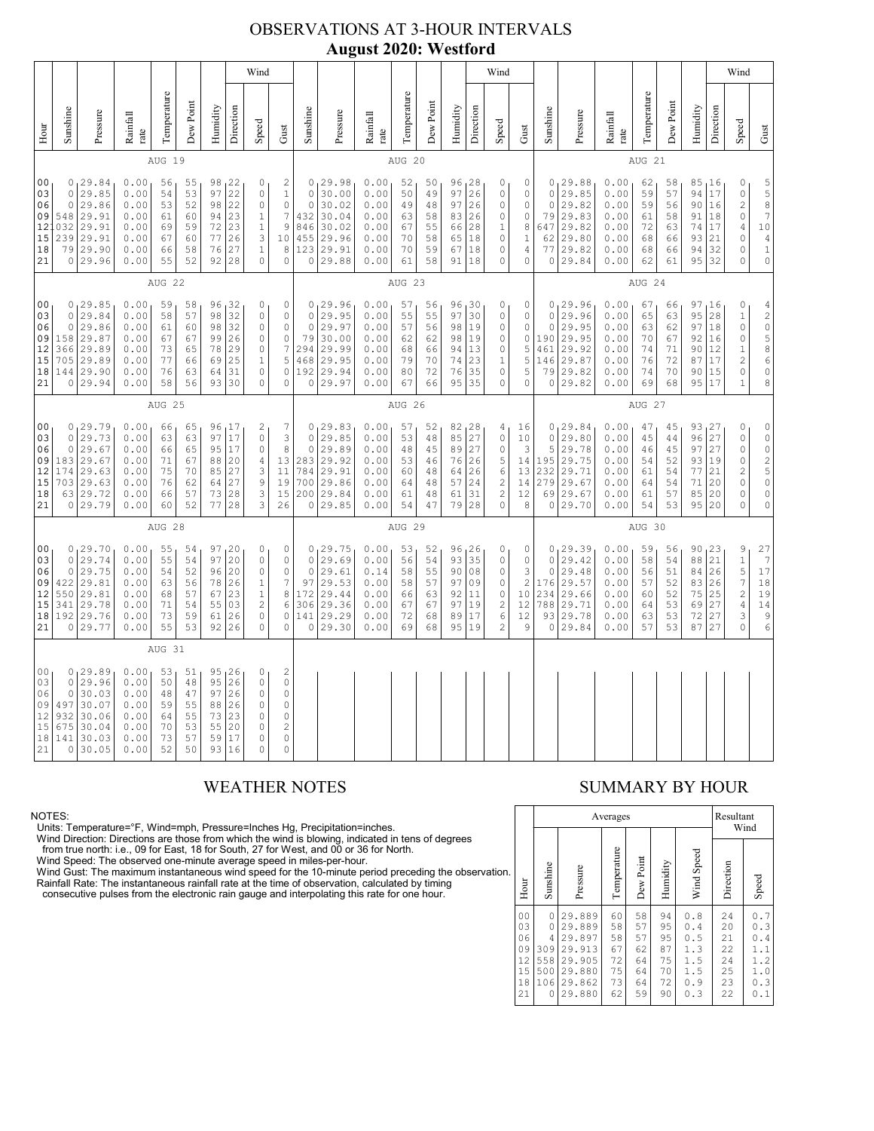## OBSERVATIONS AT 3-HOUR INTERVALS **August 2020: Westford**

|                                                    |                                                                                                                                                                                                                                                                                                                                                                                                                                                                                                             |                                                                                      |                                                              |                                              |                                              |                                              |                                                                                                          | Wind                                                                                                          |                                                                                                             |                                                              |                                                                                 |                                                              |                                                  |                                              |                                                                    |                                                                                    | Wind                                                                                |                                                                         |                                                              |                                                                         |                                                              |                                                 |                                              |                                                                                        |                                                                          | Wind                                                                                                        |                                                                                                                                 |
|----------------------------------------------------|-------------------------------------------------------------------------------------------------------------------------------------------------------------------------------------------------------------------------------------------------------------------------------------------------------------------------------------------------------------------------------------------------------------------------------------------------------------------------------------------------------------|--------------------------------------------------------------------------------------|--------------------------------------------------------------|----------------------------------------------|----------------------------------------------|----------------------------------------------|----------------------------------------------------------------------------------------------------------|---------------------------------------------------------------------------------------------------------------|-------------------------------------------------------------------------------------------------------------|--------------------------------------------------------------|---------------------------------------------------------------------------------|--------------------------------------------------------------|--------------------------------------------------|----------------------------------------------|--------------------------------------------------------------------|------------------------------------------------------------------------------------|-------------------------------------------------------------------------------------|-------------------------------------------------------------------------|--------------------------------------------------------------|-------------------------------------------------------------------------|--------------------------------------------------------------|-------------------------------------------------|----------------------------------------------|----------------------------------------------------------------------------------------|--------------------------------------------------------------------------|-------------------------------------------------------------------------------------------------------------|---------------------------------------------------------------------------------------------------------------------------------|
| Hour                                               | Sunshine                                                                                                                                                                                                                                                                                                                                                                                                                                                                                                    | Pressure                                                                             | Rainfall<br>rate                                             | Temperature                                  | Dew Point                                    | Humidity                                     | Direction                                                                                                | Speed                                                                                                         | Gust                                                                                                        | Sunshine                                                     | Pressure                                                                        | Rainfall<br>rate                                             | Temperature                                      | Dew Point                                    | Humidity                                                           | Direction                                                                          | Speed                                                                               | Gust                                                                    | Sunshine                                                     | Pressure                                                                | Rainfall<br>$_\mathrm{rate}$                                 | Temperature                                     | Dew Point                                    | Humidity                                                                               | Direction                                                                | Speed                                                                                                       | Gust                                                                                                                            |
|                                                    |                                                                                                                                                                                                                                                                                                                                                                                                                                                                                                             |                                                                                      |                                                              | AUG 19                                       |                                              |                                              |                                                                                                          |                                                                                                               |                                                                                                             |                                                              |                                                                                 |                                                              | AUG 20                                           |                                              |                                                                    |                                                                                    |                                                                                     |                                                                         |                                                              |                                                                         |                                                              | AUG 21                                          |                                              |                                                                                        |                                                                          |                                                                                                             |                                                                                                                                 |
| 0 <sub>0</sub><br>03<br>06<br>09<br>15<br>18<br>21 | 0, 29.84<br>0.00<br>56<br>55<br>98, 22<br>0<br>$\circ$<br>29.85<br>0.00<br>54<br>53<br>97<br>22<br>$\mathbb O$<br>29.86<br>0.00<br>52<br>98<br>22<br>$\mathbb O$<br>$\circ$<br>53<br>548<br>29.91<br>0.00<br>23<br>61<br>60<br>94<br>$\mathbf 1$<br>$\,1\,$<br>121032<br>29.91<br>0.00<br>72<br>23<br>69<br>59<br>$\ensuremath{\mathsf{3}}$<br>239<br> 29.91<br>77<br>26<br>0.00<br>60<br>67<br>79 29.90<br>27<br>$1\,$<br>0.00<br>58<br>76<br>66<br>28<br>$\mathbb O$<br>0 29.96<br>0.00<br>55<br>52<br>92 |                                                                                      |                                                              |                                              |                                              |                                              | $\overline{\mathbf{c}}$<br>$\mathbf 1$<br>$\mathbb O$<br>$\boldsymbol{7}$<br>$\,9$<br>10<br>8<br>$\circ$ | $\mathbb O$<br>$\mathbf 0$<br>432<br>846<br>455<br>123<br>$\circ$                                             | 0, 29.98<br>30.00<br>30.02<br>30.04<br>30.02<br>29.96<br>29.91<br>29.88                                     | 0.00<br>0.00<br>0.00<br>0.00<br>0.00<br>0.00<br>0.00<br>0.00 | 52<br>50<br>49<br>63<br>67<br>70<br>70<br>61                                    | 50<br>49<br>48<br>58<br>55<br>58<br>59<br>58                 | 96, 28<br>97<br>97<br>83<br>66<br>65<br>67<br>91 | 26<br>26<br>26<br>28<br> 18<br>18<br>18      | 0<br>$\mathbb O$<br>0<br>0<br>1<br>$\mathbb O$<br>0<br>$\mathbb O$ | 0<br>$\mathbb O$<br>$\mathbb O$<br>$\mathbb O$<br>$\,8\,$<br>1<br>4<br>$\mathbb O$ | $\circ$<br>$\circ$<br>79<br>647<br>62<br>77<br>$\circ$                              | 0, 29.88<br>29.85<br>29.82<br>29.83<br>29.82<br>29.80<br>29.82<br>29.84 | 0.00<br>0.00<br>0.00<br>0.00<br>0.00<br>0.00<br>0.00<br>0.00 | 62<br>59<br>59<br>61<br>72<br>68<br>68<br>62                            | 58<br>57<br>56<br>58<br>63<br>66<br>66<br>61                 | 85,16<br>94<br>90<br>91<br>74<br>93<br>94<br>95 | 17<br>16<br>18<br>17<br>21<br>32<br>32       | 0<br>$\mathbb O$<br>$\sqrt{2}$<br>$\circ$<br>$\sqrt{4}$<br>$\circ$<br>0<br>$\mathbf 0$ | 5<br>5<br>8<br>7<br>$10$<br>$\overline{4}$<br>$\mathbf 1$<br>$\mathbb O$ |                                                                                                             |                                                                                                                                 |
|                                                    | AUG 22                                                                                                                                                                                                                                                                                                                                                                                                                                                                                                      |                                                                                      |                                                              |                                              |                                              |                                              |                                                                                                          |                                                                                                               |                                                                                                             |                                                              | AUG 23                                                                          |                                                              |                                                  |                                              |                                                                    |                                                                                    |                                                                                     |                                                                         |                                                              | AUG 24                                                                  |                                                              |                                                 |                                              |                                                                                        |                                                                          |                                                                                                             |                                                                                                                                 |
| 00<br>03<br>06<br>09<br>12<br>15<br>18<br>21       | $\Omega$<br>$\circ$<br>158<br>366<br>705<br>$\circ$                                                                                                                                                                                                                                                                                                                                                                                                                                                         | 0, 29.85<br>29.84<br>29.86<br>29.87<br>29.89<br>29.89<br>144 29.90<br> 29.94         | 0.00<br>0.00<br>0.00<br>0.00<br>0.00<br>0.00<br>0.00<br>0.00 | 59<br>58<br>61<br>67<br>73<br>77<br>76<br>58 | 58<br>57<br>60<br>67<br>65<br>66<br>63<br>56 | 96<br>98<br>98<br>99<br>78<br>69<br>64<br>93 | 32<br>32<br>32<br>26<br>29<br>25<br>31<br>30                                                             | 0<br>$\mathbb O$<br>$\mathbb O$<br>0<br>$\mathbb O$<br>$\mathbf 1$<br>$\mathbb O$<br>$\Omega$                 | 0<br>$\circ$<br>$\circ$<br>$\mathbb O$<br>$\boldsymbol{7}$<br>5<br>$\mathbb O$<br>$\Omega$                  | $\Omega$<br>$\circ$<br>79<br>294<br>468<br>192<br>$\circ$    | 0, 29.96<br>29.95<br>29.97<br>30.00<br>29.99<br>29.95<br>29.94<br>29.97         | 0.00<br>0.00<br>0.00<br>0.00<br>0.00<br>0.00<br>0.00<br>0.00 | 57<br>55<br>57<br>62<br>68<br>79<br>80<br>67     | 56<br>55<br>56<br>62<br>66<br>70<br>72<br>66 | 96, 30<br>97<br>98<br>98<br>94<br>74<br>76<br>95                   | 30<br> 19<br>19<br>13<br>23<br>35<br>35                                            | 0<br>$\mathbb O$<br>0<br>0<br>0<br>$\,1$<br>0<br>$\Omega$                           | 0<br>$\circ$<br>$\circ$<br>$\circ$<br>$\mathbf 5$<br>5<br>5<br>$\Omega$ | $\Omega$<br>$\circ$<br>190<br>461<br>146<br>79<br>$\circ$    | 0, 29.96<br>29.96<br>29.95<br>29.95<br>29.92<br>29.87<br>29.82<br>29.82 | 0.00<br>0.00<br>0.00<br>0.00<br>0.00<br>0.00<br>0.00<br>0.00 | 67<br>65<br>63<br>70<br>74<br>76<br>74<br>69    | 66<br>63<br>62<br>67<br>71<br>72<br>70<br>68 | 97, 16<br>95<br>97<br>92<br>90<br>87<br>90<br>95                                       | 28<br>18<br>16<br>12<br>17<br>15<br>17                                   | 0<br>$\mathbf 1$<br>$\circ$<br>$\mathbb O$<br>$\,1\,$<br>$\overline{\mathbf{c}}$<br>$\circ$<br>$\mathbf{1}$ | 42058<br>$\epsilon$<br>$\mathbb O$<br>8                                                                                         |
|                                                    | AUG 25                                                                                                                                                                                                                                                                                                                                                                                                                                                                                                      |                                                                                      |                                                              |                                              |                                              |                                              |                                                                                                          |                                                                                                               |                                                                                                             |                                                              |                                                                                 | AUG 26                                                       |                                                  |                                              |                                                                    |                                                                                    |                                                                                     |                                                                         |                                                              |                                                                         | AUG 27                                                       |                                                 |                                              |                                                                                        |                                                                          |                                                                                                             |                                                                                                                                 |
| 00<br>03<br>06<br>09<br>12<br>15<br>18<br>21       | $\circ$<br>$\circ$<br>174<br>703                                                                                                                                                                                                                                                                                                                                                                                                                                                                            | 0, 29.79<br>29.73<br>29.67<br>183 29.67<br>29.63<br>29.63<br>63 29.72<br>0 29.79     | 0.00<br>0.00<br>0.00<br>0.00<br>0.00<br>0.00<br>0.00<br>0.00 | 66<br>63<br>66<br>71<br>75<br>76<br>66<br>60 | 65<br>63<br>65<br>67<br>70<br>62<br>57<br>52 | 97<br>95<br>88<br>85<br>64<br>73<br>77       | 96 17<br>17<br>17<br>20<br>27<br>27<br>28<br>28                                                          | 2<br>$\mathbb O$<br>$\mathbb O$<br>4<br>$\ensuremath{\mathsf{3}}$<br>$\overline{9}$<br>3<br>3                 | 7<br>$\ensuremath{\mathsf{3}}$<br>8<br>13<br>11<br>19<br>15<br>26                                           | $\mathbb O$<br>$\mathbf 0$<br>784<br>700<br>0                | 0, 29.83<br>29.85<br>29.89<br>283 29.92<br>29.91<br>29.86<br>200 29.84<br>29.85 | 0.00<br>0.00<br>0.00<br>0.00<br>0.00<br>0.00<br>0.00<br>0.00 | 57<br>53<br>48<br>53<br>60<br>64<br>61<br>54     | 52<br>48<br>45<br>46<br>48<br>48<br>48<br>47 | 82, 28<br>85<br>89<br>76<br>64<br>57<br>61<br>79                   | 27<br>27<br>26<br>26<br>24<br>31<br>28                                             | 4<br>$\mathbb O$<br>$\mathbb O$<br>5<br>$\epsilon$<br>$\sqrt{2}$<br>$\sqrt{2}$<br>0 | 16<br>10<br>$\mathsf 3$<br>14<br>13<br>14<br>12<br>8                    | $\circ$<br>5<br>195<br>232<br>279<br>69<br>0                 | 0, 29.84<br>29.80<br>29.78<br>29.75<br>29.71<br>29.67<br>29.67<br>29.70 | 0.00<br>0.00<br>0.00<br>0.00<br>0.00<br>0.00<br>0.00<br>0.00 | 47<br>45<br>46<br>54<br>61<br>64<br>61<br>54    | 45<br>44<br>45<br>52<br>54<br>54<br>57<br>53 | 93<br>96<br>97<br>93<br>77<br>71<br>85<br>95 20                                        | 127<br>27<br>27<br>19<br>21<br>20<br>20                                  | 0<br>$\mathbb O$<br>$\circ$<br>$\circ$<br>$\sqrt{2}$<br>$\circ$<br>$\mathbb O$<br>$\circ$                   | $\circ$<br>$\begin{matrix} 0 \\ 0 \end{matrix}$<br>$\begin{array}{c} 2 \\ 5 \\ 0 \end{array}$<br>$\circ$<br>$\mathsf{O}\xspace$ |
|                                                    |                                                                                                                                                                                                                                                                                                                                                                                                                                                                                                             |                                                                                      |                                                              | AUG 28                                       |                                              |                                              |                                                                                                          |                                                                                                               |                                                                                                             |                                                              |                                                                                 |                                                              | AUG 29                                           |                                              |                                                                    |                                                                                    |                                                                                     |                                                                         |                                                              |                                                                         |                                                              | AUG 30                                          |                                              |                                                                                        |                                                                          |                                                                                                             |                                                                                                                                 |
| 00<br>03<br>06<br>09<br>12<br>15<br>21             | $\circ$<br>$\circ$<br>422<br>550<br>341                                                                                                                                                                                                                                                                                                                                                                                                                                                                     | 0, 29.70<br>29.74<br>29.75<br>29.81<br>29.81<br>29.78<br>18   192   29.76<br>0 29.77 | 0.00<br>0.00<br>0.00<br>0.00<br>0.00<br>0.00<br>0.00<br>0.00 | 55<br>55<br>54<br>63<br>68<br>71<br>73<br>55 | 54<br>54<br>52<br>56<br>57<br>54<br>59<br>53 | 97<br>97<br>96<br>78<br>67<br>55<br>61<br>92 | 20<br>20<br>20<br>26<br>23<br>03<br>26<br>26                                                             | 0<br>$\mathbb O$<br>$\mathbb O$<br>$\mathbf 1$<br>$\,1$<br>$\overline{c}$<br>$\circ$<br>$\Omega$              | 0<br>$\mathbb O$<br>$\circ$<br>7<br>$\,8\,$<br>6<br>$\circ$<br>$\mathbf 0$                                  | $\circ$<br>$\mathbf 0$<br>97<br>172<br>306<br>141<br>0       | 0, 29.75<br>29.69<br>29.61<br>29.53<br>29.44<br>29.36<br>29.29<br>29.30         | 0.00<br>0.00<br>0.14<br>0.00<br>0.00<br>0.00<br>0.00<br>0.00 | 53<br>56<br>58<br>58<br>66<br>67<br>72<br>69     | 52<br>54<br>55<br>57<br>63<br>67<br>68<br>68 | 93<br>90<br>97<br>92<br>97<br>89<br>95                             | 96, 26<br>35<br>08<br>09<br>11<br>19<br>17<br>19                                   | 0<br>$\circ$<br>0<br>$\mathbb O$<br>0<br>$\sqrt{2}$<br>$\epsilon$<br>$\overline{c}$ | 0<br>$\circ$<br>3<br>$\mathbf{2}$<br>10<br>12<br>12<br>$\mathsf 9$      | $\circ$<br>$\circ$<br>176<br>234<br>788<br>93<br>$\circ$     | 0, 29.39<br>29.42<br>29.48<br>29.57<br>29.66<br>29.71<br>29.78<br>29.84 | 0.00<br>0.00<br>0.00<br>0.00<br>0.00<br>0.00<br>0.00<br>0.00 | 59<br>58<br>56<br>57<br>60<br>64<br>63<br>57    | 56<br>54<br>51<br>52<br>52<br>53<br>53<br>53 | 90<br>88<br>84<br>83<br>75<br>69<br>72<br>87                                           | 123<br>21<br>26<br>26<br>25<br>27<br>27<br>27                            | 9<br>$\mathbf 1$<br>$\frac{5}{7}$<br>$\overline{\mathbf{c}}$<br>4<br>3<br>$\circ$                           | 27<br>$\overline{7}$<br>17<br>$18\,$<br>19<br>14<br>$\begin{array}{c} 9 \\ 6 \end{array}$                                       |
|                                                    | AUG 31<br>95, 26                                                                                                                                                                                                                                                                                                                                                                                                                                                                                            |                                                                                      |                                                              |                                              |                                              |                                              |                                                                                                          |                                                                                                               |                                                                                                             |                                                              |                                                                                 |                                                              |                                                  |                                              |                                                                    |                                                                                    |                                                                                     |                                                                         |                                                              |                                                                         |                                                              |                                                 |                                              |                                                                                        |                                                                          |                                                                                                             |                                                                                                                                 |
| 00<br>03<br>06<br>09<br>12<br>15<br>18<br>21       | $\circ$<br>0<br>497<br>932<br>675<br>141<br>$\circ$                                                                                                                                                                                                                                                                                                                                                                                                                                                         | 0, 29.89<br>29.96<br>30.03<br>30.07<br>30.06<br>30.04<br>30.03<br>30.05              | 0.00<br>0.00<br>0.00<br>0.00<br>0.00<br>0.00<br>0.00<br>0.00 | 53<br>50<br>48<br>59<br>64<br>70<br>73<br>52 | 51<br>48<br>47<br>55<br>55<br>53<br>57<br>50 | 95<br>97<br>88<br>73<br>55<br>59<br>93       | 26<br>26<br>26<br>23<br>20<br>17<br>16                                                                   | $\mathbb O$<br>$\mathbb O$<br>$\mathbb O$<br>$\mathbb O$<br>$\circ$<br>$\mathbb O$<br>$\mathbb O$<br>$\Omega$ | $\overline{\mathbf{c}}$<br>$\circ$<br>$\circ$<br>$\circ$<br>$\mathbb O$<br>$\sqrt{2}$<br>$\circ$<br>$\circ$ |                                                              |                                                                                 |                                                              |                                                  |                                              |                                                                    |                                                                                    |                                                                                     |                                                                         |                                                              |                                                                         |                                                              |                                                 |                                              |                                                                                        |                                                                          |                                                                                                             |                                                                                                                                 |

NOTES:<br>Units: Temperature=°F, Wind=mph, Pressure=Inches Hg, Precipitation=inches.<br>Units: Temperature=°F, Wind=mph, Pressure=Inches Hg, Precipitation=inches.<br>
Yind Direction: Directions are those from which the wind is blow

### WEATHER NOTES SUMMARY BY HOUR

|    |                                                          |                                                     | Resultant<br>Wind                                                            |                                              |                                              |                                              |                                                      |                                              |                                                      |
|----|----------------------------------------------------------|-----------------------------------------------------|------------------------------------------------------------------------------|----------------------------------------------|----------------------------------------------|----------------------------------------------|------------------------------------------------------|----------------------------------------------|------------------------------------------------------|
| ì. | Hour                                                     | Sunshine                                            | Pressure                                                                     | Temperature                                  | Dew Point                                    | Humidity                                     | Wind Speed                                           | Direction                                    | Speed                                                |
|    | 0 <sub>0</sub><br>03<br>06<br>09<br>12<br>15<br>18<br>21 | 0<br>0<br>4<br>309<br>558<br>500<br>106<br>$\Omega$ | 29.889<br>29.889<br>29.897<br>29.913<br>29.905<br>29.880<br>29.862<br>29.880 | 60<br>58<br>58<br>67<br>72<br>75<br>73<br>62 | 58<br>57<br>57<br>62<br>64<br>64<br>64<br>59 | 94<br>95<br>95<br>87<br>75<br>70<br>72<br>90 | 0.8<br>0.4<br>0.5<br>1.3<br>1.5<br>1.5<br>0.9<br>0.3 | 24<br>20<br>21<br>22<br>24<br>25<br>23<br>22 | 0.7<br>0.3<br>0.4<br>1.1<br>1.2<br>1.0<br>0.3<br>0.1 |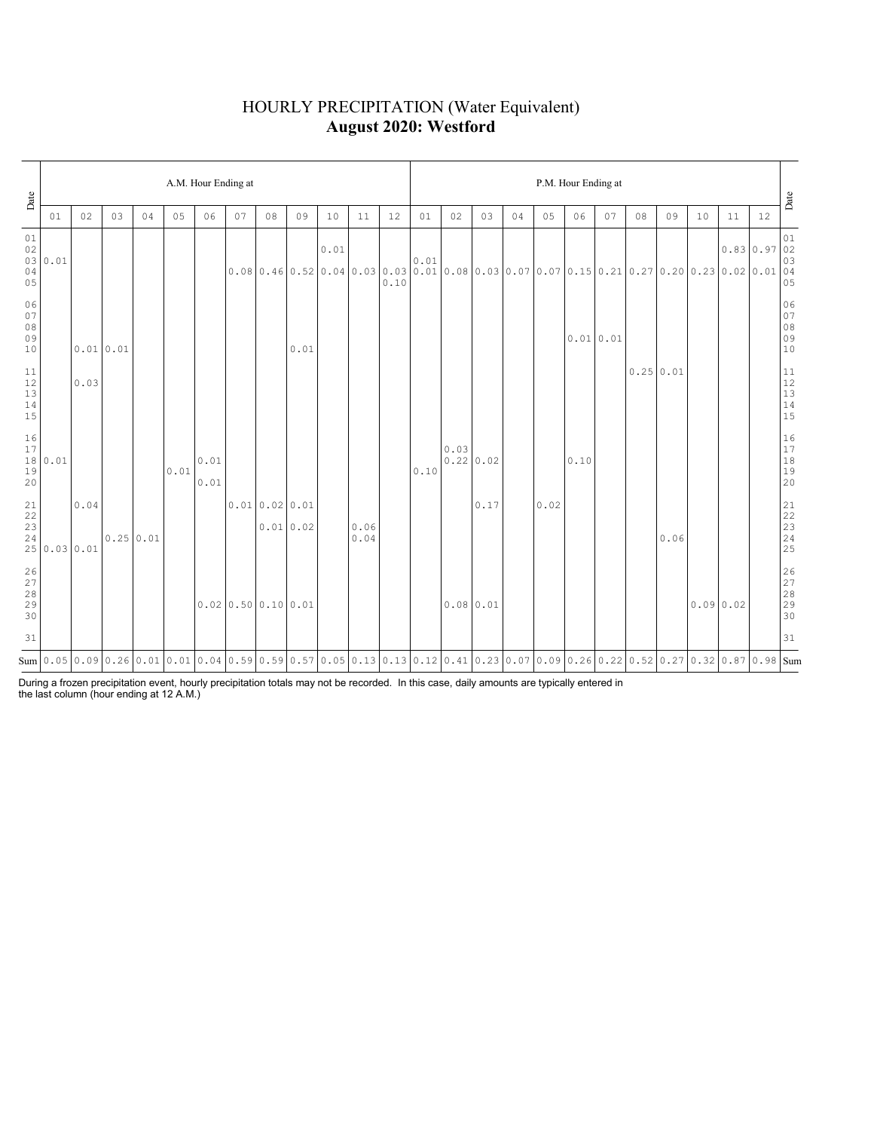### HOURLY PRECIPITATION (Water Equivalent) **August 2020: Westford**

| Date                                                      | A.M. Hour Ending at |          |    |                  |      |              |    |                       |          |      |              |    | P.M. Hour Ending at                                                                                                             |                          |      |    |      |          |    |    |                  |          |    |              |                                                           |  |
|-----------------------------------------------------------|---------------------|----------|----|------------------|------|--------------|----|-----------------------|----------|------|--------------|----|---------------------------------------------------------------------------------------------------------------------------------|--------------------------|------|----|------|----------|----|----|------------------|----------|----|--------------|-----------------------------------------------------------|--|
|                                                           | 01                  | 02       | 03 | 04               | 05   | 06           | 07 | 08                    | 09       | 10   | 11           | 12 | 01                                                                                                                              | 02                       | 03   | 04 | 05   | 06       | 07 | 08 | 09               | 10       | 11 | 12           |                                                           |  |
| $0\,1$<br>$02\,$<br>04<br>05                              | 03 0.01             |          |    |                  |      |              |    |                       |          | 0.01 |              |    | 0.01<br>$0.08$ 0.46 0.52 0.04 0.03 0.03 0.01 0.08 0.03 0.07 0.07 0.15 0.21 0.27 0.20 0.23 0.02 0.01 0.5                         |                          |      |    |      |          |    |    |                  |          |    | 0.83 0.97 01 | 03                                                        |  |
| 06<br>$0\,7$<br>$0\,8$<br>09<br>10                        |                     | 0.010.01 |    |                  |      |              |    |                       | 0.01     |      |              |    |                                                                                                                                 |                          |      |    |      | 0.010.01 |    |    |                  |          |    |              | 06<br>07<br>08<br>09<br>09<br>10                          |  |
| $11\,$<br>$12$<br>13<br>$14$<br>15                        |                     | 0.03     |    |                  |      |              |    |                       |          |      |              |    |                                                                                                                                 |                          |      |    |      |          |    |    | $0.25 \mid 0.01$ |          |    |              | $\begin{array}{c} 11 \\ 12 \\ 13 \\ 14 \\ 15 \end{array}$ |  |
| 16<br>$17\,$<br>19<br>20                                  | 18 0.01             |          |    |                  | 0.01 | 0.01<br>0.01 |    |                       |          |      |              |    | 0.10                                                                                                                            | 0.03<br>$0.22 \mid 0.02$ |      |    |      | 0.10     |    |    |                  |          |    |              | 16<br>17<br>18<br>19<br>19<br>20                          |  |
| 21<br>22<br>23<br>24                                      | 25 0.03 0.01        | 0.04     |    | $0.25 \mid 0.01$ |      |              |    | 0.010.020.01          | 0.010.02 |      | 0.06<br>0.04 |    |                                                                                                                                 |                          | 0.17 |    | 0.02 |          |    |    | 0.06             |          |    |              |                                                           |  |
| $\begin{array}{c} 26 \\ 27 \\ 28 \end{array}$<br>29<br>30 |                     |          |    |                  |      |              |    | $0.02$ 0.50 0.10 0.01 |          |      |              |    |                                                                                                                                 | 0.0800.01                |      |    |      |          |    |    |                  | 0.090.02 |    |              | 26<br>27<br>28<br>29<br>29<br>30                          |  |
| 31                                                        |                     |          |    |                  |      |              |    |                       |          |      |              |    |                                                                                                                                 |                          |      |    |      |          |    |    |                  |          |    |              | 31                                                        |  |
|                                                           |                     |          |    |                  |      |              |    |                       |          |      |              |    | Sum 0.05 0.09 0.26 0.01 0.01 0.04 0.59 0.59 0.57 0.05 0.13 0.13 0.12 0.41 0.23 0.07 0.09 0.26 0.22 0.52 0.27 0.32 0.87 0.98 Sum |                          |      |    |      |          |    |    |                  |          |    |              |                                                           |  |

During a frozen precipitation event, hourly precipitation totals may not be recorded. In this case, daily amounts are typically entered in the last column (hour ending at 12 A.M.)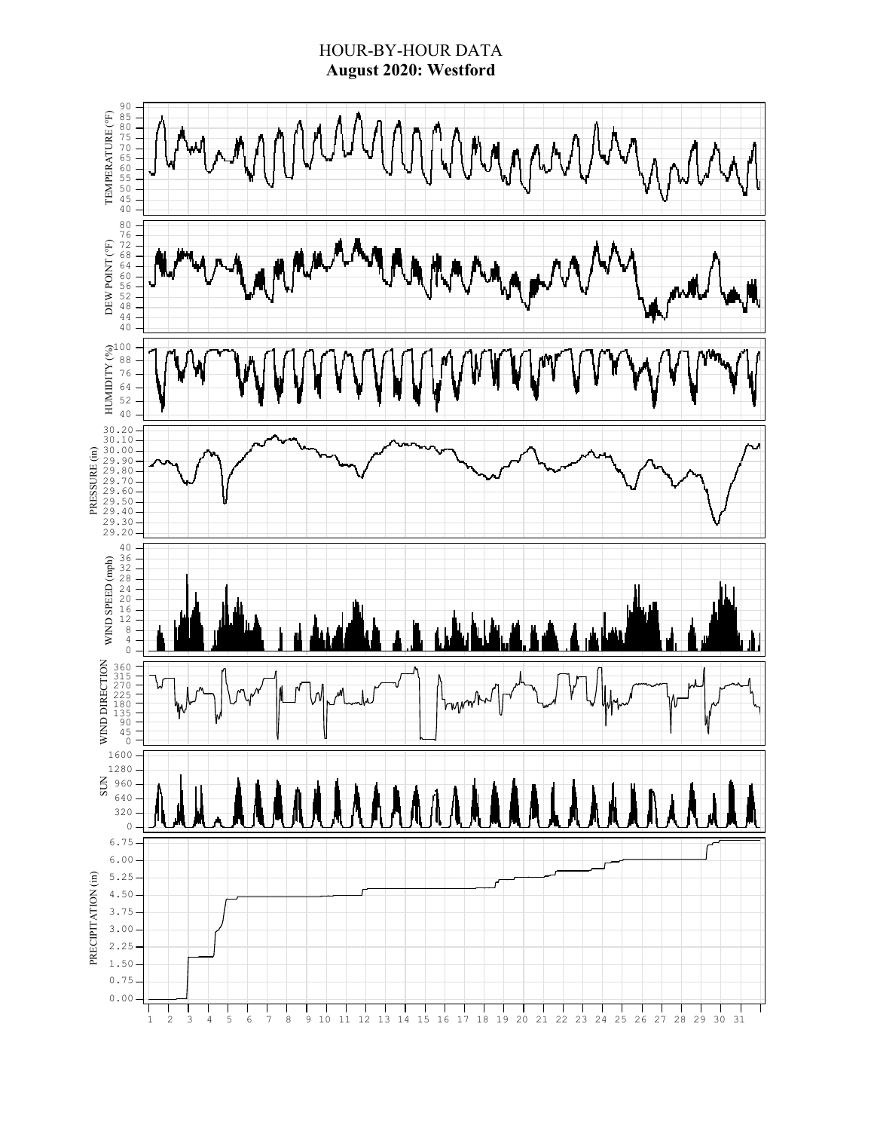### HOUR-BY-HOUR DATA **August 2020: Westford**